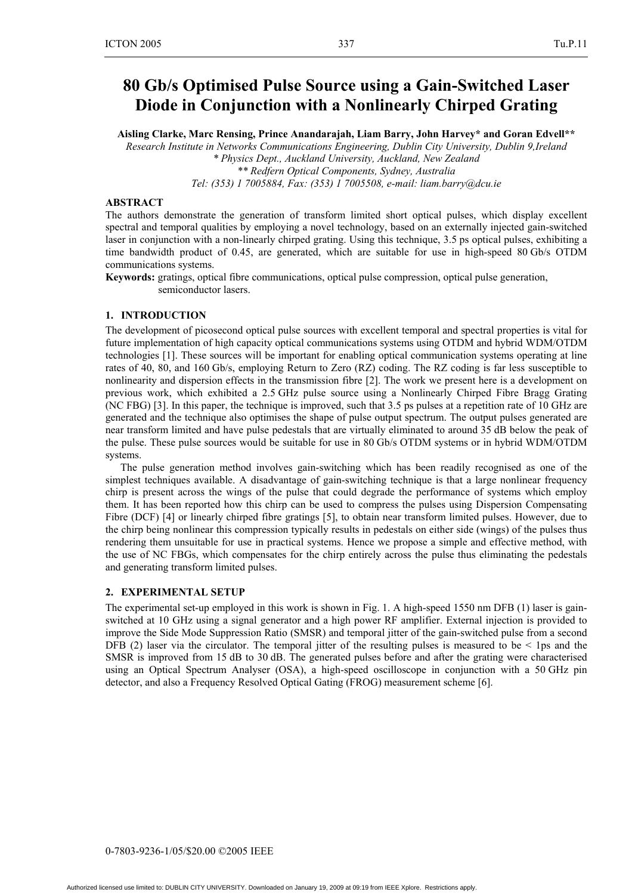# **80 Gb/s Optimised Pulse Source using a Gain-Switched Laser Diode in Conjunction with a Nonlinearly Chirped Grating**

**Aisling Clarke, Marc Rensing, Prince Anandarajah, Liam Barry, John Harvey\* and Goran Edvell\*\*** 

*Research Institute in Networks Communications Engineering, Dublin City University, Dublin 9,Ireland \* Physics Dept., Auckland University, Auckland, New Zealand \*\* Redfern Optical Components, Sydney, Australia* 

*Tel: (353) 1 7005884, Fax: (353) 1 7005508, e-mail: liam.barry@dcu.ie* 

## **ABSTRACT**

The authors demonstrate the generation of transform limited short optical pulses, which display excellent spectral and temporal qualities by employing a novel technology, based on an externally injected gain-switched laser in conjunction with a non-linearly chirped grating. Using this technique, 3.5 ps optical pulses, exhibiting a time bandwidth product of 0.45, are generated, which are suitable for use in high-speed 80 Gb/s OTDM communications systems.

**Keywords:** gratings, optical fibre communications, optical pulse compression, optical pulse generation, semiconductor lasers.

#### **1. INTRODUCTION**

The development of picosecond optical pulse sources with excellent temporal and spectral properties is vital for future implementation of high capacity optical communications systems using OTDM and hybrid WDM/OTDM technologies [1]. These sources will be important for enabling optical communication systems operating at line rates of 40, 80, and 160 Gb/s, employing Return to Zero (RZ) coding. The RZ coding is far less susceptible to nonlinearity and dispersion effects in the transmission fibre [2]. The work we present here is a development on previous work, which exhibited a 2.5 GHz pulse source using a Nonlinearly Chirped Fibre Bragg Grating (NC FBG) [3]. In this paper, the technique is improved, such that 3.5 ps pulses at a repetition rate of 10 GHz are generated and the technique also optimises the shape of pulse output spectrum. The output pulses generated are near transform limited and have pulse pedestals that are virtually eliminated to around 35 dB below the peak of the pulse. These pulse sources would be suitable for use in 80 Gb/s OTDM systems or in hybrid WDM/OTDM systems.

The pulse generation method involves gain-switching which has been readily recognised as one of the simplest techniques available. A disadvantage of gain-switching technique is that a large nonlinear frequency chirp is present across the wings of the pulse that could degrade the performance of systems which employ them. It has been reported how this chirp can be used to compress the pulses using Dispersion Compensating Fibre (DCF) [4] or linearly chirped fibre gratings [5], to obtain near transform limited pulses. However, due to the chirp being nonlinear this compression typically results in pedestals on either side (wings) of the pulses thus rendering them unsuitable for use in practical systems. Hence we propose a simple and effective method, with the use of NC FBGs, which compensates for the chirp entirely across the pulse thus eliminating the pedestals and generating transform limited pulses.

#### **2. EXPERIMENTAL SETUP**

The experimental set-up employed in this work is shown in Fig. 1. A high-speed 1550 nm DFB (1) laser is gainswitched at 10 GHz using a signal generator and a high power RF amplifier. External injection is provided to improve the Side Mode Suppression Ratio (SMSR) and temporal jitter of the gain-switched pulse from a second DFB (2) laser via the circulator. The temporal jitter of the resulting pulses is measured to be  $\leq$  1ps and the SMSR is improved from 15 dB to 30 dB. The generated pulses before and after the grating were characterised using an Optical Spectrum Analyser (OSA), a high-speed oscilloscope in conjunction with a 50 GHz pin detector, and also a Frequency Resolved Optical Gating (FROG) measurement scheme [6].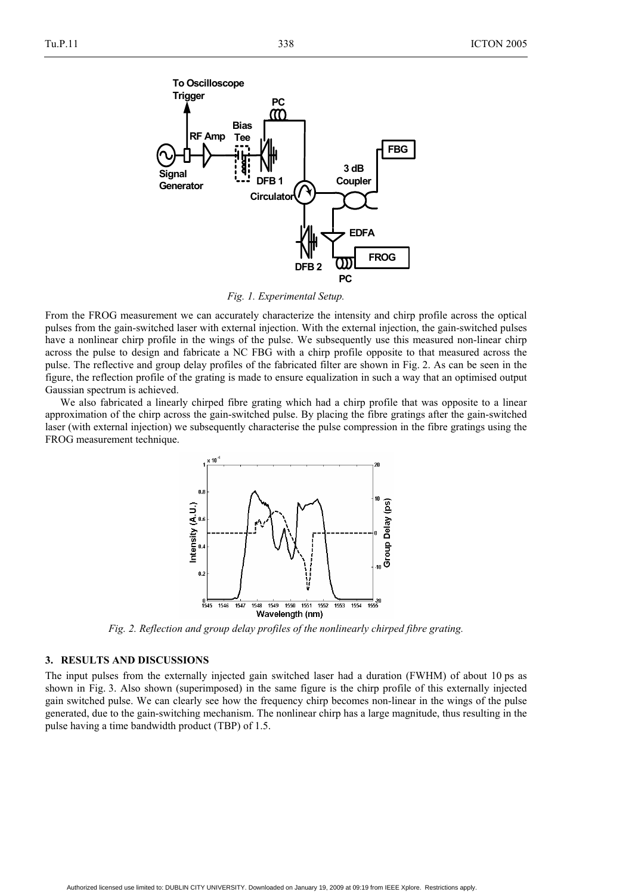

*Fig. 1. Experimental Setup.* 

From the FROG measurement we can accurately characterize the intensity and chirp profile across the optical pulses from the gain-switched laser with external injection. With the external injection, the gain-switched pulses have a nonlinear chirp profile in the wings of the pulse. We subsequently use this measured non-linear chirp across the pulse to design and fabricate a NC FBG with a chirp profile opposite to that measured across the pulse. The reflective and group delay profiles of the fabricated filter are shown in Fig. 2. As can be seen in the figure, the reflection profile of the grating is made to ensure equalization in such a way that an optimised output Gaussian spectrum is achieved.

We also fabricated a linearly chirped fibre grating which had a chirp profile that was opposite to a linear approximation of the chirp across the gain-switched pulse. By placing the fibre gratings after the gain-switched laser (with external injection) we subsequently characterise the pulse compression in the fibre gratings using the FROG measurement technique.



*Fig. 2. Reflection and group delay profiles of the nonlinearly chirped fibre grating.* 

## **3. RESULTS AND DISCUSSIONS**

The input pulses from the externally injected gain switched laser had a duration (FWHM) of about 10 ps as shown in Fig. 3. Also shown (superimposed) in the same figure is the chirp profile of this externally injected gain switched pulse. We can clearly see how the frequency chirp becomes non-linear in the wings of the pulse generated, due to the gain-switching mechanism. The nonlinear chirp has a large magnitude, thus resulting in the pulse having a time bandwidth product (TBP) of 1.5.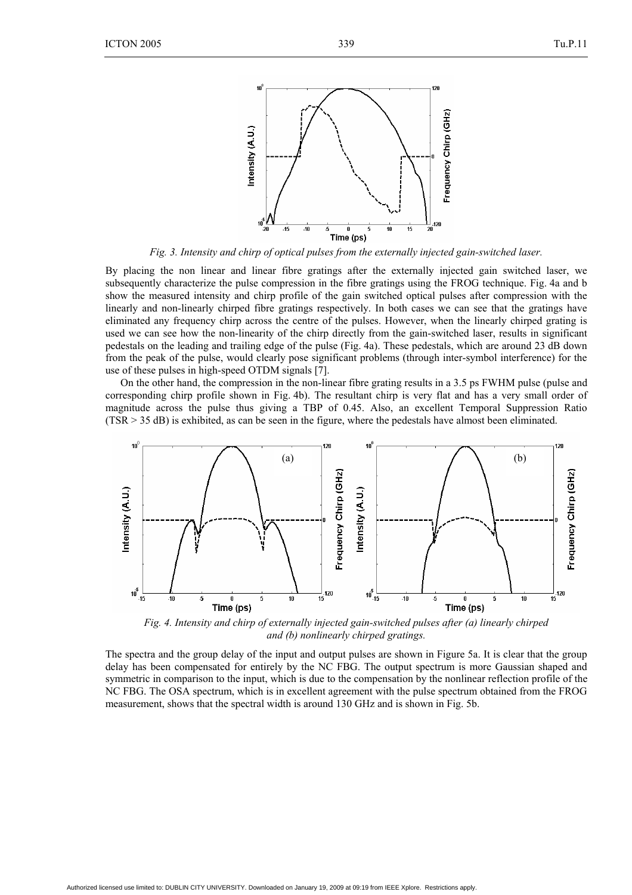

*Fig. 3. Intensity and chirp of optical pulses from the externally injected gain-switched laser.* 

By placing the non linear and linear fibre gratings after the externally injected gain switched laser, we subsequently characterize the pulse compression in the fibre gratings using the FROG technique. Fig. 4a and b show the measured intensity and chirp profile of the gain switched optical pulses after compression with the linearly and non-linearly chirped fibre gratings respectively. In both cases we can see that the gratings have eliminated any frequency chirp across the centre of the pulses. However, when the linearly chirped grating is used we can see how the non-linearity of the chirp directly from the gain-switched laser, results in significant pedestals on the leading and trailing edge of the pulse (Fig. 4a). These pedestals, which are around 23 dB down from the peak of the pulse, would clearly pose significant problems (through inter-symbol interference) for the use of these pulses in high-speed OTDM signals [7].

On the other hand, the compression in the non-linear fibre grating results in a 3.5 ps FWHM pulse (pulse and corresponding chirp profile shown in Fig. 4b). The resultant chirp is very flat and has a very small order of magnitude across the pulse thus giving a TBP of 0.45. Also, an excellent Temporal Suppression Ratio (TSR > 35 dB) is exhibited, as can be seen in the figure, where the pedestals have almost been eliminated.



*Fig. 4. Intensity and chirp of externally injected gain-switched pulses after (a) linearly chirped and (b) nonlinearly chirped gratings.* 

The spectra and the group delay of the input and output pulses are shown in Figure 5a. It is clear that the group delay has been compensated for entirely by the NC FBG. The output spectrum is more Gaussian shaped and symmetric in comparison to the input, which is due to the compensation by the nonlinear reflection profile of the NC FBG. The OSA spectrum, which is in excellent agreement with the pulse spectrum obtained from the FROG measurement, shows that the spectral width is around 130 GHz and is shown in Fig. 5b.